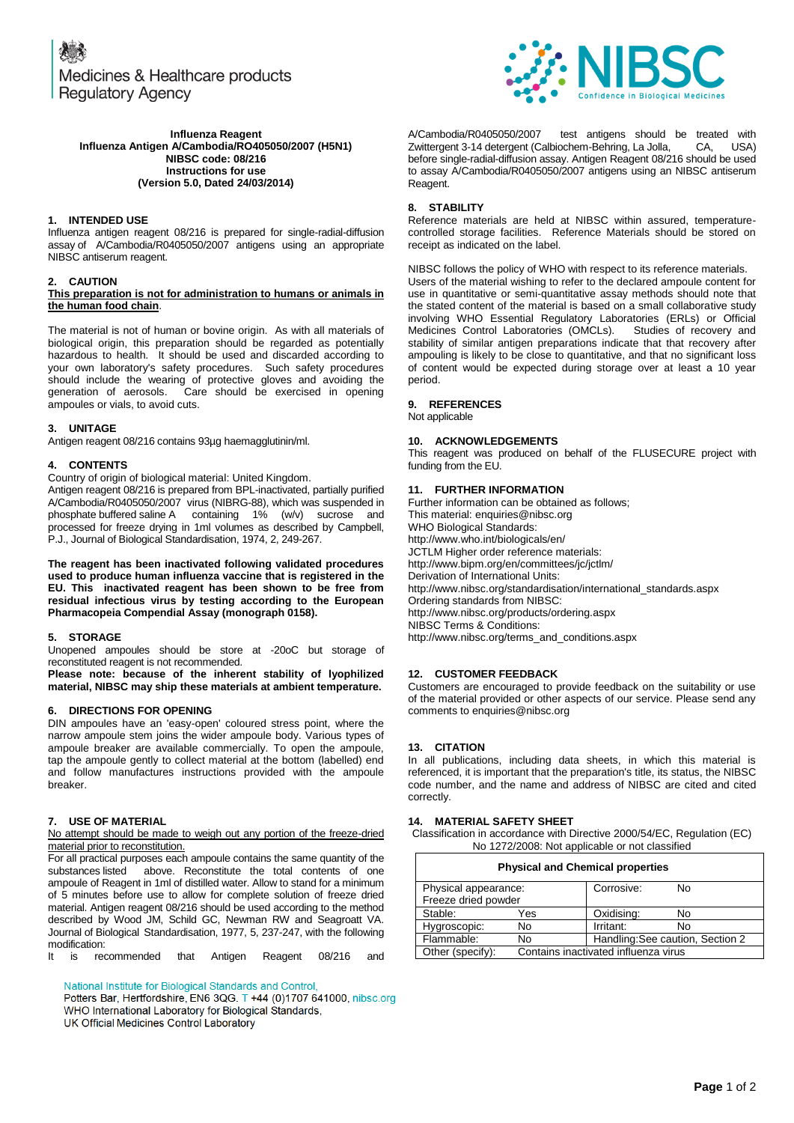Medicines & Healthcare products **Regulatory Agency** 



A/Cambodia/R0405050/2007 test antigens should be treated with<br>Zwittergent 3-14 detergent (Calbiochem-Behring La Jolla. CA. USA) Zwittergent 3-14 detergent (Calbiochem-Behring, La Jolla, before single-radial-diffusion assay. Antigen Reagent 08/216 should be used to assay A/Cambodia/R0405050/2007 antigens using an NIBSC antiserum Reagent.

## **8. STABILITY**

Reference materials are held at NIBSC within assured, temperaturecontrolled storage facilities. Reference Materials should be stored on receipt as indicated on the label.

NIBSC follows the policy of WHO with respect to its reference materials. Users of the material wishing to refer to the declared ampoule content for use in quantitative or semi-quantitative assay methods should note that the stated content of the material is based on a small collaborative study involving WHO Essential Regulatory Laboratories (ERLs) or Official Medicines Control Laboratories (OMCLs). Studies of recovery and stability of similar antigen preparations indicate that that recovery after ampouling is likely to be close to quantitative, and that no significant loss of content would be expected during storage over at least a 10 year period.

# **9. REFERENCES**

Not applicable

## **10. ACKNOWLEDGEMENTS**

This reagent was produced on behalf of the FLUSECURE project with funding from the EU.

#### **11. FURTHER INFORMATION**

Further information can be obtained as follows; This material[: enquiries@nibsc.org](mailto:enquiries@nibsc.org) WHO Biological Standards: <http://www.who.int/biologicals/en/> JCTLM Higher order reference materials: <http://www.bipm.org/en/committees/jc/jctlm/> Derivation of International Units: [http://www.nibsc.org/standardisation/international\\_standards.aspx](http://www.nibsc.org/standardisation/international_standards.aspx) Ordering standards from NIBSC: <http://www.nibsc.org/products/ordering.aspx> NIBSC Terms & Conditions: [http://www.nibsc.org/terms\\_and\\_conditions.aspx](http://www.nibsc.ac.uk/terms_and_conditions.aspx)

#### **12. CUSTOMER FEEDBACK**

Customers are encouraged to provide feedback on the suitability or use of the material provided or other aspects of our service. Please send any comments t[o enquiries@nibsc.org](mailto:enquiries@nibsc.org)

#### **13. CITATION**

In all publications, including data sheets, in which this material is referenced, it is important that the preparation's title, its status, the NIBSC code number, and the name and address of NIBSC are cited and cited correctly.

#### **14. MATERIAL SAFETY SHEET**

Classification in accordance with Directive 2000/54/EC, Regulation (EC) No 1272/2008: Not applicable or not classified

| <b>Physical and Chemical properties</b> |                                      |                                  |    |  |
|-----------------------------------------|--------------------------------------|----------------------------------|----|--|
| Physical appearance:                    |                                      | Corrosive:                       | N٥ |  |
| Freeze dried powder                     |                                      |                                  |    |  |
| Stable:                                 | Yes                                  | Oxidising:                       | No |  |
| Hygroscopic:                            | No                                   | Irritant:                        | No |  |
| Flammable:                              | No                                   | Handling: See caution, Section 2 |    |  |
| Other (specify):                        | Contains inactivated influenza virus |                                  |    |  |

**Influenza Reagent Influenza Antigen A/Cambodia/RO405050/2007 (H5N1) NIBSC code: 08/216 Instructions for use (Version 5.0, Dated 24/03/2014)**

#### **1. INTENDED USE**

Influenza antigen reagent 08/216 is prepared for single-radial-diffusion assay of A/Cambodia/R0405050/2007 antigens using an appropriate NIBSC antiserum reagent.

#### **2. CAUTION**

#### **This preparation is not for administration to humans or animals in the human food chain**.

The material is not of human or bovine origin. As with all materials of biological origin, this preparation should be regarded as potentially hazardous to health. It should be used and discarded according to your own laboratory's safety procedures. Such safety procedures should include the wearing of protective gloves and avoiding the generation of aerosols. Care should be exercised in opening Care should be exercised in opening ampoules or vials, to avoid cuts.

## **3. UNITAGE**

Antigen reagent 08/216 contains 93µg haemagglutinin/ml.

#### **4. CONTENTS**

Country of origin of biological material: United Kingdom.

Antigen reagent 08/216 is prepared from BPL-inactivated, partially purified A/Cambodia/R0405050/2007 virus (NIBRG-88), which was suspended in phosphate buffered saline A containing 1% (w/v) sucrose and processed for freeze drying in 1ml volumes as described by Campbell, P.J., Journal of Biological Standardisation, 1974, 2, 249-267.

**The reagent has been inactivated following validated procedures used to produce human influenza vaccine that is registered in the EU. This inactivated reagent has been shown to be free from residual infectious virus by testing according to the European Pharmacopeia Compendial Assay (monograph 0158).**

#### **5. STORAGE**

Unopened ampoules should be store at -20oC but storage of reconstituted reagent is not recommended.

**Please note: because of the inherent stability of lyophilized material, NIBSC may ship these materials at ambient temperature.**

#### **6. DIRECTIONS FOR OPENING**

DIN ampoules have an 'easy-open' coloured stress point, where the narrow ampoule stem joins the wider ampoule body. Various types of ampoule breaker are available commercially. To open the ampoule, tap the ampoule gently to collect material at the bottom (labelled) end and follow manufactures instructions provided with the ampoule breaker.

#### **7. USE OF MATERIAL**

No attempt should be made to weigh out any portion of the freeze-dried material prior to reconstitution.

For all practical purposes each ampoule contains the same quantity of the substances listed above. Reconstitute the total contents of one ampoule of Reagent in 1ml of distilled water. Allow to stand for a minimum of 5 minutes before use to allow for complete solution of freeze dried material. Antigen reagent 08/216 should be used according to the method described by Wood JM, Schild GC, Newman RW and Seagroatt VA. Journal of Biological Standardisation, 1977, 5, 237-247, with the following modification:

It is recommended that Antigen Reagent 08/216 and

National Institute for Biological Standards and Control,

Potters Bar, Hertfordshire, EN6 3QG. T +44 (0)1707 641000, nibsc.org WHO International Laboratory for Biological Standards, UK Official Medicines Control Laboratory

**Page** 1 of 2